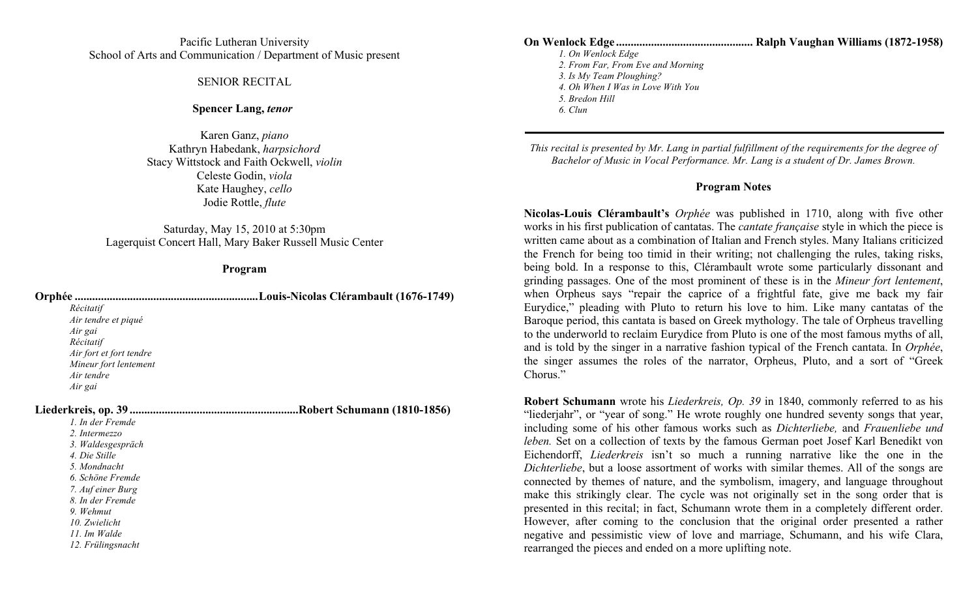## Pacific Lutheran University School of Arts and Communication / Department of Music present

### SENIOR RECITAL

### **Spencer Lang,** *tenor*

Karen Ganz, *piano* Kathryn Habedank, *harpsichord* Stacy Wittstock and Faith Ockwell, *violin* Celeste Godin, *viola* Kate Haughey, *cello* Jodie Rottle, *flute*

Saturday, May 15, 2010 at 5:30pm Lagerquist Concert Hall, Mary Baker Russell Music Center

## **Program**

| Orphée                  |                                    |
|-------------------------|------------------------------------|
| Récitatif               |                                    |
| Air tendre et piqué     |                                    |
| Air gai                 |                                    |
| Récitatif               |                                    |
| Air fort et fort tendre |                                    |
| Mineur fort lentement   |                                    |
| Air tendre              |                                    |
| Air gai                 |                                    |
|                         | <b>Robert Schumann (1810-1856)</b> |
| 1. In der Fremde        |                                    |
| 2. Intermezzo           |                                    |
| 3. Waldesgespräch       |                                    |
| 4. Die Stille           |                                    |
| 5. Mondnacht            |                                    |
| 6. Schöne Fremde        |                                    |
| 7. Auf einer Burg       |                                    |
| 8. In der Fremde        |                                    |
| 9. Wehmut               |                                    |
| 10. Zwielicht           |                                    |
| 11. Im Walde            |                                    |
| 12. Frülingsnacht       |                                    |

**On Wenlock Edge ............................................... Ralph Vaughan Williams (1872-1958)**  *1. On Wenlock Edge 2. From Far, From Eve and Morning 3. Is My Team Ploughing? 4. Oh When I Was in Love With You 5. Bredon Hill*

*6. Clun*

*This recital is presented by Mr. Lang in partial fulfillment of the requirements for the degree of Bachelor of Music in Vocal Performance. Mr. Lang is a student of Dr. James Brown.* 

#### **Program Notes**

**Nicolas-Louis Clérambault's** *Orphée* was published in 1710, along with five other works in his first publication of cantatas. The *cantate française* style in which the piece is written came about as a combination of Italian and French styles. Many Italians criticized the French for being too timid in their writing; not challenging the rules, taking risks, being bold. In a response to this, Clérambault wrote some particularly dissonant and grinding passages. One of the most prominent of these is in the *Mineur fort lentement*, when Orpheus says "repair the caprice of a frightful fate, give me back my fair Eurydice," pleading with Pluto to return his love to him. Like many cantatas of the Baroque period, this cantata is based on Greek mythology. The tale of Orpheus travelling to the underworld to reclaim Eurydice from Pluto is one of the most famous myths of all, and is told by the singer in a narrative fashion typical of the French cantata. In *Orphée*, the singer assumes the roles of the narrator, Orpheus, Pluto, and a sort of "Greek Chorus."

**Robert Schumann** wrote his *Liederkreis, Op. 39* in 1840, commonly referred to as his "liederjahr", or "year of song." He wrote roughly one hundred seventy songs that year, including some of his other famous works such as *Dichterliebe,* and *Frauenliebe und leben.* Set on a collection of texts by the famous German poet Josef Karl Benedikt von Eichendorff, *Liederkreis* isn't so much a running narrative like the one in the *Dichterliebe*, but a loose assortment of works with similar themes. All of the songs are connected by themes of nature, and the symbolism, imagery, and language throughout make this strikingly clear. The cycle was not originally set in the song order that is presented in this recital; in fact, Schumann wrote them in a completely different order. However, after coming to the conclusion that the original order presented a rather negative and pessimistic view of love and marriage, Schumann, and his wife Clara, rearranged the pieces and ended on a more uplifting note.